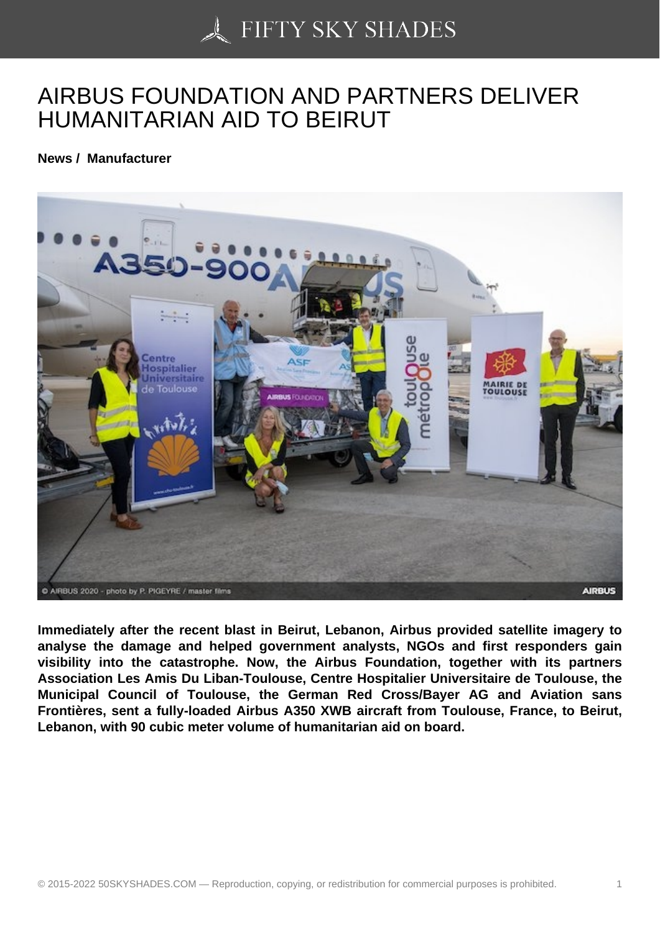## [AIRBUS FOUNDATION](https://50skyshades.com) AND PARTNERS DELIVER HUMANITARIAN AID TO BEIRUT

News / Manufacturer

Immediately after the recent blast in Beirut, Lebanon, Airbus provided satellite imagery to analyse the damage and helped government analysts, NGOs and first responders gain visibility into the catastrophe. Now, the Airbus Foundation, together with its partners Association Les Amis Du Liban-Toulouse, Centre Hospitalier Universitaire de Toulouse, the Municipal Council of Toulouse, the German Red Cross/Bayer AG and Aviation sans Frontières, sent a fully-loaded Airbus A350 XWB aircraft from Toulouse, France, to Beirut, Lebanon, with 90 cubic meter volume of humanitarian aid on board.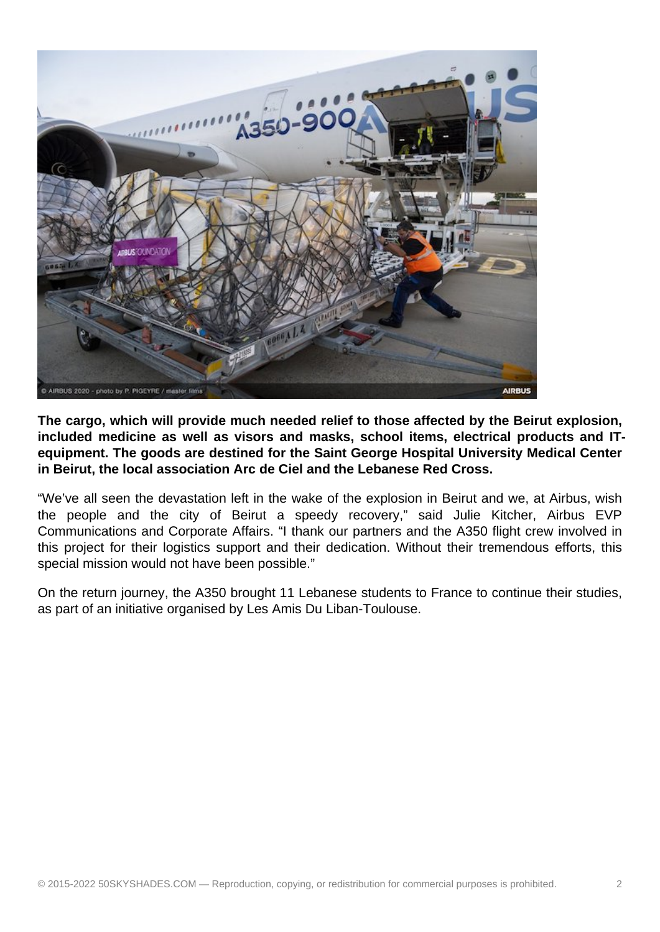

**The cargo, which will provide much needed relief to those affected by the Beirut explosion, included medicine as well as visors and masks, school items, electrical products and ITequipment. The goods are destined for the Saint George Hospital University Medical Center in Beirut, the local association Arc de Ciel and the Lebanese Red Cross.**

"We've all seen the devastation left in the wake of the explosion in Beirut and we, at Airbus, wish the people and the city of Beirut a speedy recovery," said Julie Kitcher, Airbus EVP Communications and Corporate Affairs. "I thank our partners and the A350 flight crew involved in this project for their logistics support and their dedication. Without their tremendous efforts, this special mission would not have been possible."

On the return journey, the A350 brought 11 Lebanese students to France to continue their studies, as part of an initiative organised by Les Amis Du Liban-Toulouse.